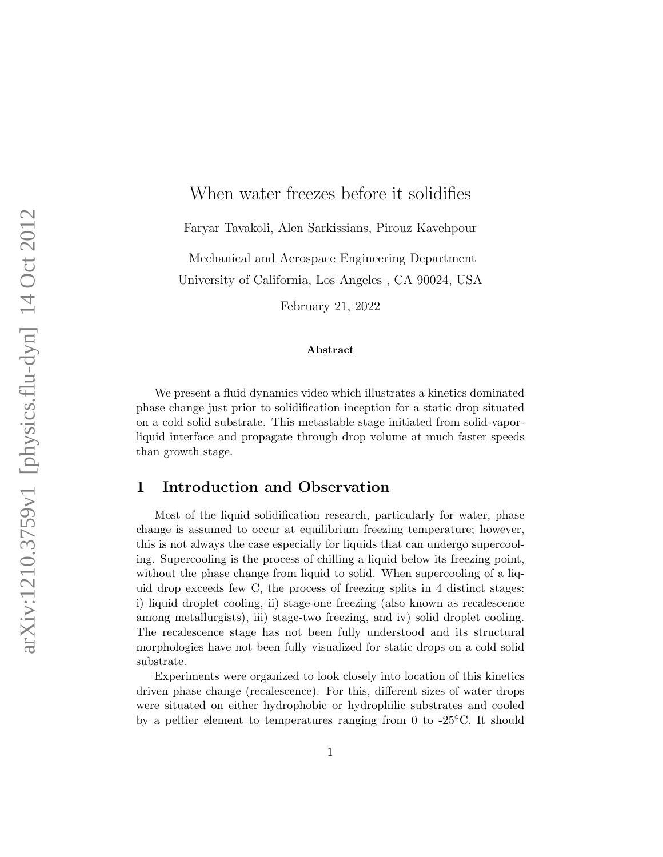## When water freezes before it solidifies

Faryar Tavakoli, Alen Sarkissians, Pirouz Kavehpour

Mechanical and Aerospace Engineering Department University of California, Los Angeles , CA 90024, USA

February 21, 2022

## Abstract

We present a fluid dynamics video which illustrates a kinetics dominated phase change just prior to solidification inception for a static drop situated on a cold solid substrate. This metastable stage initiated from solid-vaporliquid interface and propagate through drop volume at much faster speeds than growth stage.

## 1 Introduction and Observation

Most of the liquid solidification research, particularly for water, phase change is assumed to occur at equilibrium freezing temperature; however, this is not always the case especially for liquids that can undergo supercooling. Supercooling is the process of chilling a liquid below its freezing point, without the phase change from liquid to solid. When supercooling of a liquid drop exceeds few C, the process of freezing splits in 4 distinct stages: i) liquid droplet cooling, ii) stage-one freezing (also known as recalescence among metallurgists), iii) stage-two freezing, and iv) solid droplet cooling. The recalescence stage has not been fully understood and its structural morphologies have not been fully visualized for static drops on a cold solid substrate.

Experiments were organized to look closely into location of this kinetics driven phase change (recalescence). For this, different sizes of water drops were situated on either hydrophobic or hydrophilic substrates and cooled by a peltier element to temperatures ranging from 0 to  $-25\degree C$ . It should